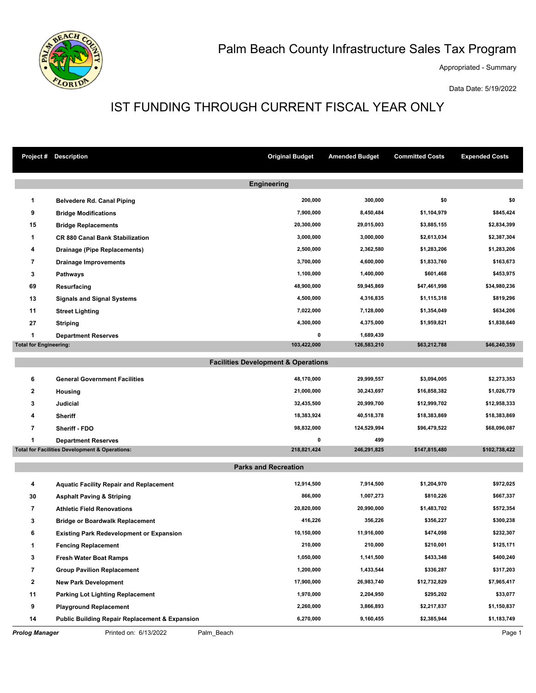

## Palm Beach County Infrastructure Sales Tax Program

Appropriated - Summary

Data Date: 5/19/2022

## IST FUNDING THROUGH CURRENT FISCAL YEAR ONLY

|                                                | <b>Project # Description</b>                              | <b>Original Budget</b> | <b>Amended Budget</b> | <b>Committed Costs</b> | <b>Expended Costs</b> |  |  |  |  |
|------------------------------------------------|-----------------------------------------------------------|------------------------|-----------------------|------------------------|-----------------------|--|--|--|--|
| <b>Engineering</b>                             |                                                           |                        |                       |                        |                       |  |  |  |  |
| $\mathbf 1$                                    | <b>Belvedere Rd. Canal Piping</b>                         | 200,000                | 300,000               | \$0                    | \$0                   |  |  |  |  |
| 9                                              | <b>Bridge Modifications</b>                               | 7,900,000              | 8,450,484             | \$1,104,979            | \$845,424             |  |  |  |  |
| 15                                             | <b>Bridge Replacements</b>                                | 20,300,000             | 29,015,003            | \$3,885,155            | \$2,834,399           |  |  |  |  |
| 1                                              | <b>CR 880 Canal Bank Stabilization</b>                    | 3,000,000              | 3,000,000             | \$2,613,034            | \$2,387,304           |  |  |  |  |
| 4                                              | Drainage (Pipe Replacements)                              | 2,500,000              | 2,362,580             | \$1,283,206            | \$1,283,206           |  |  |  |  |
| 7                                              | <b>Drainage Improvements</b>                              | 3,700,000              | 4,600,000             | \$1,833,760            | \$163,673             |  |  |  |  |
| 3                                              | Pathways                                                  | 1,100,000              | 1,400,000             | \$601,468              | \$453,975             |  |  |  |  |
| 69                                             | Resurfacing                                               | 48,900,000             | 59,945,869            | \$47,461,998           | \$34,980,236          |  |  |  |  |
| 13                                             | <b>Signals and Signal Systems</b>                         | 4,500,000              | 4,316,835             | \$1,115,318            | \$819,296             |  |  |  |  |
| 11                                             | <b>Street Lighting</b>                                    | 7,022,000              | 7,128,000             | \$1,354,049            | \$634,206             |  |  |  |  |
| 27                                             | <b>Striping</b>                                           | 4,300,000              | 4,375,000             | \$1,959,821            | \$1,838,640           |  |  |  |  |
| 1                                              | <b>Department Reserves</b>                                | 0                      | 1,689,439             |                        |                       |  |  |  |  |
| <b>Total for Engineering:</b>                  |                                                           | 103,422,000            | 126,583,210           | \$63,212,788           | \$46,240,359          |  |  |  |  |
| <b>Facilities Development &amp; Operations</b> |                                                           |                        |                       |                        |                       |  |  |  |  |
| 6                                              | <b>General Government Facilities</b>                      | 48,170,000             | 29,999,557            | \$3,094,005            | \$2,273,353           |  |  |  |  |
| 2                                              | Housing                                                   | 21,000,000             | 30,243,697            | \$16,858,382           | \$1,026,779           |  |  |  |  |
| 3                                              | <b>Judicial</b>                                           | 32,435,500             | 20,999,700            | \$12,999,702           | \$12,958,333          |  |  |  |  |
| 4                                              | <b>Sheriff</b>                                            | 18,383,924             | 40,518,378            | \$18,383,869           | \$18,383,869          |  |  |  |  |
| $\overline{\phantom{a}}$                       | Sheriff - FDO                                             | 98,832,000             | 124,529,994           | \$96,479,522           | \$68,096,087          |  |  |  |  |
| 1                                              | Department Reserves                                       | 0                      | 499                   |                        |                       |  |  |  |  |
|                                                | <b>Total for Facilities Development &amp; Operations:</b> | 218,821,424            | 246,291,825           | \$147,815,480          | \$102,738,422         |  |  |  |  |
| <b>Parks and Recreation</b>                    |                                                           |                        |                       |                        |                       |  |  |  |  |
| 4                                              | <b>Aquatic Facility Repair and Replacement</b>            | 12,914,500             | 7,914,500             | \$1,204,970            | \$972,025             |  |  |  |  |
| 30                                             | <b>Asphalt Paving &amp; Striping</b>                      | 866,000                | 1,007,273             | \$810,226              | \$667,337             |  |  |  |  |
| 7                                              | <b>Athletic Field Renovations</b>                         | 20,820,000             | 20,990,000            | \$1,483,702            | \$572,354             |  |  |  |  |
| 3                                              | <b>Bridge or Boardwalk Replacement</b>                    | 416,226                | 356,226               | \$356,227              | \$300,238             |  |  |  |  |
| 6                                              | <b>Existing Park Redevelopment or Expansion</b>           | 10,150,000             | 11,916,000            | \$474,098              | \$232,307             |  |  |  |  |
| $\mathbf{1}$                                   | <b>Fencing Replacement</b>                                | 210,000                | 210,000               | \$210,001              | \$125,171             |  |  |  |  |
| 3                                              | <b>Fresh Water Boat Ramps</b>                             | 1,050,000              | 1,141,500             | \$433,348              | \$400,240             |  |  |  |  |
| 7                                              | <b>Group Pavilion Replacement</b>                         | 1,200,000              | 1,433,544             | \$336,287              | \$317,203             |  |  |  |  |
| $\mathbf{2}$                                   | <b>New Park Development</b>                               | 17,900,000             | 26,983,740            | \$12,732,829           | \$7,965,417           |  |  |  |  |
| 11                                             | <b>Parking Lot Lighting Replacement</b>                   | 1,970,000              | 2,204,950             | \$295,202              | \$33,077              |  |  |  |  |
| 9                                              | <b>Playground Replacement</b>                             | 2,260,000              | 3,866,893             | \$2,217,837            | \$1,150,837           |  |  |  |  |
| 14                                             | <b>Public Building Repair Replacement &amp; Expansion</b> | 6,270,000              | 9,160,455             | \$2,385,944            | \$1,183,749           |  |  |  |  |